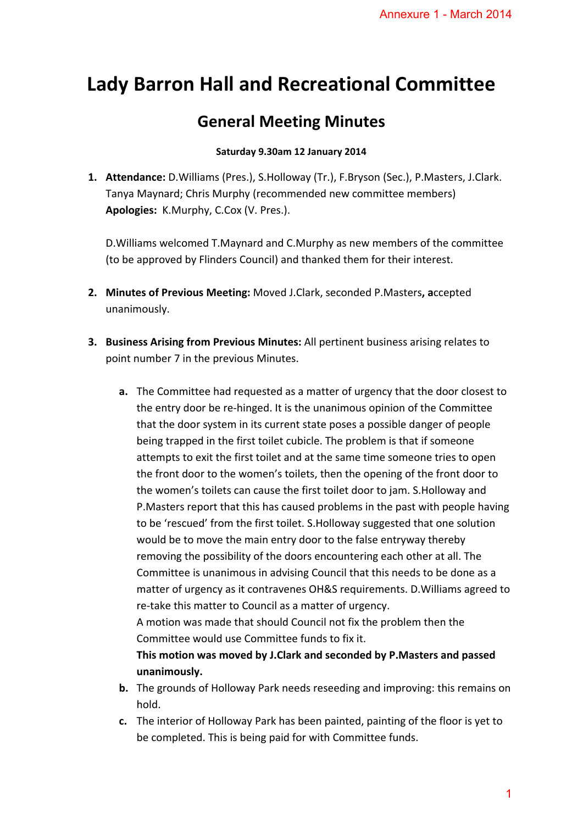# **Lady Barron Hall and Recreational Committee**

# **General Meeting Minutes**

## **Saturday 9.30am 12 January 2014**

**1. Attendance:** D.Williams (Pres.), S.Holloway (Tr.), F.Bryson (Sec.), P.Masters, J.Clark. Tanya Maynard; Chris Murphy (recommended new committee members) **Apologies:** K.Murphy, C.Cox (V. Pres.).

D.Williams welcomed T.Maynard and C.Murphy as new members of the committee (to be approved by Flinders Council) and thanked them for their interest.

- **2. Minutes of Previous Meeting:** Moved J.Clark, seconded P.Masters**, a**ccepted unanimously.
- **3. Business Arising from Previous Minutes:** All pertinent business arising relates to point number 7 in the previous Minutes.
- **a.** The Committee had requested as a matter of urgency that the door closest to the entry door be re‐hinged. It is the unanimous opinion of the Committee that the door system in its current state poses a possible danger of people being trapped in the first toilet cubicle. The problem is that if someone attempts to exit the first toilet and at the same time someone tries to open the front door to the women's toilets, then the opening of the front door to the women's toilets can cause the first toilet door to jam. S.Holloway and P.Masters report that this has caused problems in the past with people having to be 'rescued' from the first toilet. S.Holloway suggested that one solution would be to move the main entry door to the false entryway thereby removing the possibility of the doors encountering each other at all. The Committee is unanimous in advising Council that this needs to be done as a matter of urgency as it contravenes OH&S requirements. D.Williams agreed to re‐take this matter to Council as a matter of urgency. A motion was made that should Council not fix the problem then the Committee would use Committee funds to fix it. Annexure 1 - March 2014<br>
<br> **all Committee**<br>
<br> **s**<br> **s**<br>
(Sec.), P.Masters, J.Clark.<br>
inttee members)<br>
nembers of the committee<br>
r their interest.<br>
.Masters, accepted<br>
siness arising relates to<br>
ncy that the door closest to

**This motion was moved by J.Clark and seconded by P.Masters and passed unanimously.**

- **b.** The grounds of Holloway Park needs reseeding and improving: this remains on hold.
- **c.** The interior of Holloway Park has been painted, painting of the floor is yet to be completed. This is being paid for with Committee funds.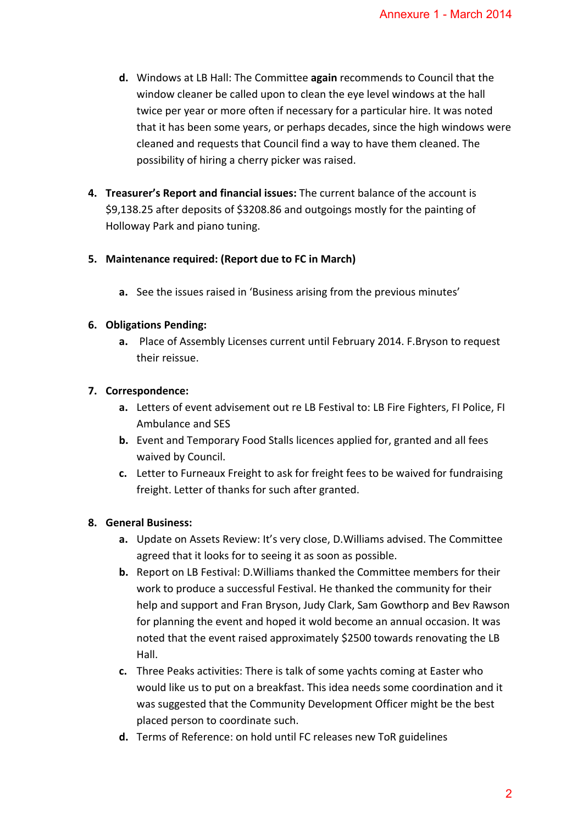- **d.** Windows at LB Hall: The Committee **again** recommends to Council that the window cleaner be called upon to clean the eye level windows at the hall twice per year or more often if necessary for a particular hire. It was noted that it has been some years, or perhaps decades, since the high windows were cleaned and requests that Council find a way to have them cleaned. The possibility of hiring a cherry picker was raised.
- **4. Treasurer's Report and financial issues:** The current balance of the account is \$9,138.25 after deposits of \$3208.86 and outgoings mostly for the painting of Holloway Park and piano tuning.

### **5. Maintenance required: (Report due to FC in March)**

**a.** See the issues raised in 'Business arising from the previous minutes'

### **6. Obligations Pending:**

**a.** Place of Assembly Licenses current until February 2014. F.Bryson to request their reissue.

### **7. Correspondence:**

- **a.** Letters of event advisement out re LB Festival to: LB Fire Fighters, FI Police, FI Ambulance and SES
- **b.** Event and Temporary Food Stalls licences applied for, granted and all fees waived by Council.
- **c.** Letter to Furneaux Freight to ask for freight fees to be waived for fundraising freight. Letter of thanks for such after granted.

#### **8. General Business:**

- **a.** Update on Assets Review: It's very close, D.Williams advised. The Committee agreed that it looks for to seeing it as soon as possible.
- **b.** Report on LB Festival: D.Williams thanked the Committee members for their work to produce a successful Festival. He thanked the community for their help and support and Fran Bryson, Judy Clark, Sam Gowthorp and Bev Rawson for planning the event and hoped it wold become an annual occasion. It was noted that the event raised approximately \$2500 towards renovating the LB Hall. Annexure 1 - March 2014<br>
ends to Council that the<br>
erel windows at the hall<br>
ricular hire. It was noted<br>
ince the high windows were<br>
we them cleaned. The<br>
nce of the account is<br>
ly for the painting of<br>
revious minutes'<br>
re
- **c.** Three Peaks activities: There is talk of some yachts coming at Easter who would like us to put on a breakfast. This idea needs some coordination and it was suggested that the Community Development Officer might be the best placed person to coordinate such.
- **d.** Terms of Reference: on hold until FC releases new ToR guidelines